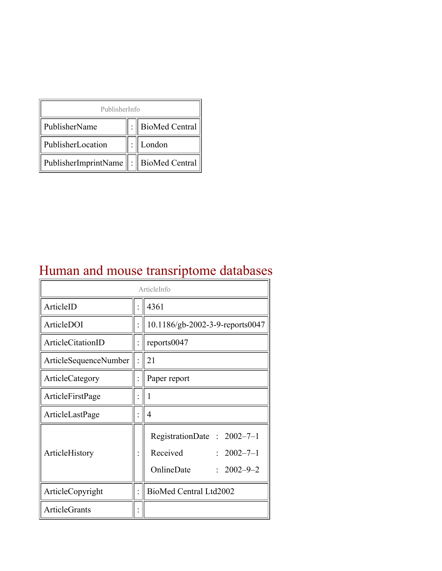| PublisherInfo                                   |  |                    |  |  |  |
|-------------------------------------------------|--|--------------------|--|--|--|
| PublisherName                                   |  | :   BioMed Central |  |  |  |
| PublisherLocation                               |  | London             |  |  |  |
| PublisherImprintName $\ \cdot\ $ BioMed Central |  |                    |  |  |  |

#### Human and mouse transriptome databases

| ArticleInfo           |  |                                                                                            |  |  |
|-----------------------|--|--------------------------------------------------------------------------------------------|--|--|
| ArticleID             |  | 4361                                                                                       |  |  |
| ArticleDOI            |  | 10.1186/gb-2002-3-9-reports0047                                                            |  |  |
| ArticleCitationID     |  | reports0047                                                                                |  |  |
| ArticleSequenceNumber |  | 21                                                                                         |  |  |
| ArticleCategory       |  | Paper report                                                                               |  |  |
| ArticleFirstPage      |  | I                                                                                          |  |  |
| ArticleLastPage       |  | 4                                                                                          |  |  |
| ArticleHistory        |  | RegistrationDate: 2002-7-1<br>Received<br>$: 2002 - 7 - 1$<br>OnlineDate<br>$2002 - 9 - 2$ |  |  |
| ArticleCopyright      |  | BioMed Central Ltd2002                                                                     |  |  |
| ArticleGrants         |  |                                                                                            |  |  |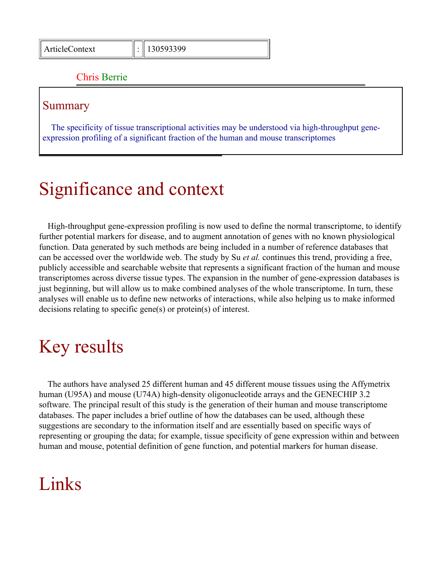| ArticleContext |  |
|----------------|--|
|                |  |

ArticleContext : 130593399

#### Chris Berrie

#### Summary

The specificity of tissue transcriptional activities may be understood via high-throughput geneexpression profiling of a significant fraction of the human and mouse transcriptomes

# Significance and context

High-throughput gene-expression profiling is now used to define the normal transcriptome, to identify further potential markers for disease, and to augment annotation of genes with no known physiological function. Data generated by such methods are being included in a number of reference databases that can be accessed over the worldwide web. The study by Su *et al.* continues this trend, providing a free, publicly accessible and searchable website that represents a significant fraction of the human and mouse transcriptomes across diverse tissue types. The expansion in the number of gene-expression databases is just beginning, but will allow us to make combined analyses of the whole transcriptome. In turn, these analyses will enable us to define new networks of interactions, while also helping us to make informed decisions relating to specific gene(s) or protein(s) of interest.

### Key results

The authors have analysed 25 different human and 45 different mouse tissues using the Affymetrix human (U95A) and mouse (U74A) high-density oligonucleotide arrays and the GENECHIP 3.2 software. The principal result of this study is the generation of their human and mouse transcriptome databases. The paper includes a brief outline of how the databases can be used, although these suggestions are secondary to the information itself and are essentially based on specific ways of representing or grouping the data; for example, tissue specificity of gene expression within and between human and mouse, potential definition of gene function, and potential markers for human disease.

# Links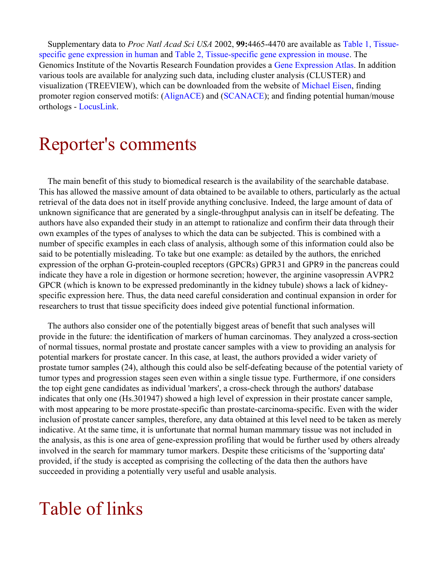Supplementary data to *Proc Natl Acad Sci USA* 2002, **99:**4465-4470 are available as [Table 1, Tissue](http://www.pnas.org/cgi/data/012025199/DC1/1)[specific gene expression in human](http://www.pnas.org/cgi/data/012025199/DC1/1) and [Table 2, Tissue-specific gene expression in mouse](http://www.pnas.org/cgi/data/012025199/DC1/2). The Genomics Institute of the Novartis Research Foundation provides a [Gene Expression Atlas](http://expression.gnf.org). In addition various tools are available for analyzing such data, including cluster analysis (CLUSTER) and visualization (TREEVIEW), which can be downloaded from the website of [Michael Eisen](http://rana.lbl.gov/EisenSoftware.htm), finding promoter region conserved motifs: [\(AlignACE\)](http://atlas.med.harvard.edu/) and ([SCANACE\)](http://www.scanace.com/en/index.php); and finding potential human/mouse orthologs - [LocusLink](http://www.ncbi.nlm.nih.gov/LocusLink/).

### Reporter's comments

The main benefit of this study to biomedical research is the availability of the searchable database. This has allowed the massive amount of data obtained to be available to others, particularly as the actual retrieval of the data does not in itself provide anything conclusive. Indeed, the large amount of data of unknown significance that are generated by a single-throughput analysis can in itself be defeating. The authors have also expanded their study in an attempt to rationalize and confirm their data through their own examples of the types of analyses to which the data can be subjected. This is combined with a number of specific examples in each class of analysis, although some of this information could also be said to be potentially misleading. To take but one example: as detailed by the authors, the enriched expression of the orphan G-protein-coupled receptors (GPCRs) GPR31 and GPR9 in the pancreas could indicate they have a role in digestion or hormone secretion; however, the arginine vasopressin AVPR2 GPCR (which is known to be expressed predominantly in the kidney tubule) shows a lack of kidneyspecific expression here. Thus, the data need careful consideration and continual expansion in order for researchers to trust that tissue specificity does indeed give potential functional information.

The authors also consider one of the potentially biggest areas of benefit that such analyses will provide in the future: the identification of markers of human carcinomas. They analyzed a cross-section of normal tissues, normal prostate and prostate cancer samples with a view to providing an analysis for potential markers for prostate cancer. In this case, at least, the authors provided a wider variety of prostate tumor samples (24), although this could also be self-defeating because of the potential variety of tumor types and progression stages seen even within a single tissue type. Furthermore, if one considers the top eight gene candidates as individual 'markers', a cross-check through the authors' database indicates that only one (Hs.301947) showed a high level of expression in their prostate cancer sample, with most appearing to be more prostate-specific than prostate-carcinoma-specific. Even with the wider inclusion of prostate cancer samples, therefore, any data obtained at this level need to be taken as merely indicative. At the same time, it is unfortunate that normal human mammary tissue was not included in the analysis, as this is one area of gene-expression profiling that would be further used by others already involved in the search for mammary tumor markers. Despite these criticisms of the 'supporting data' provided, if the study is accepted as comprising the collecting of the data then the authors have succeeded in providing a potentially very useful and usable analysis.

## Table of links